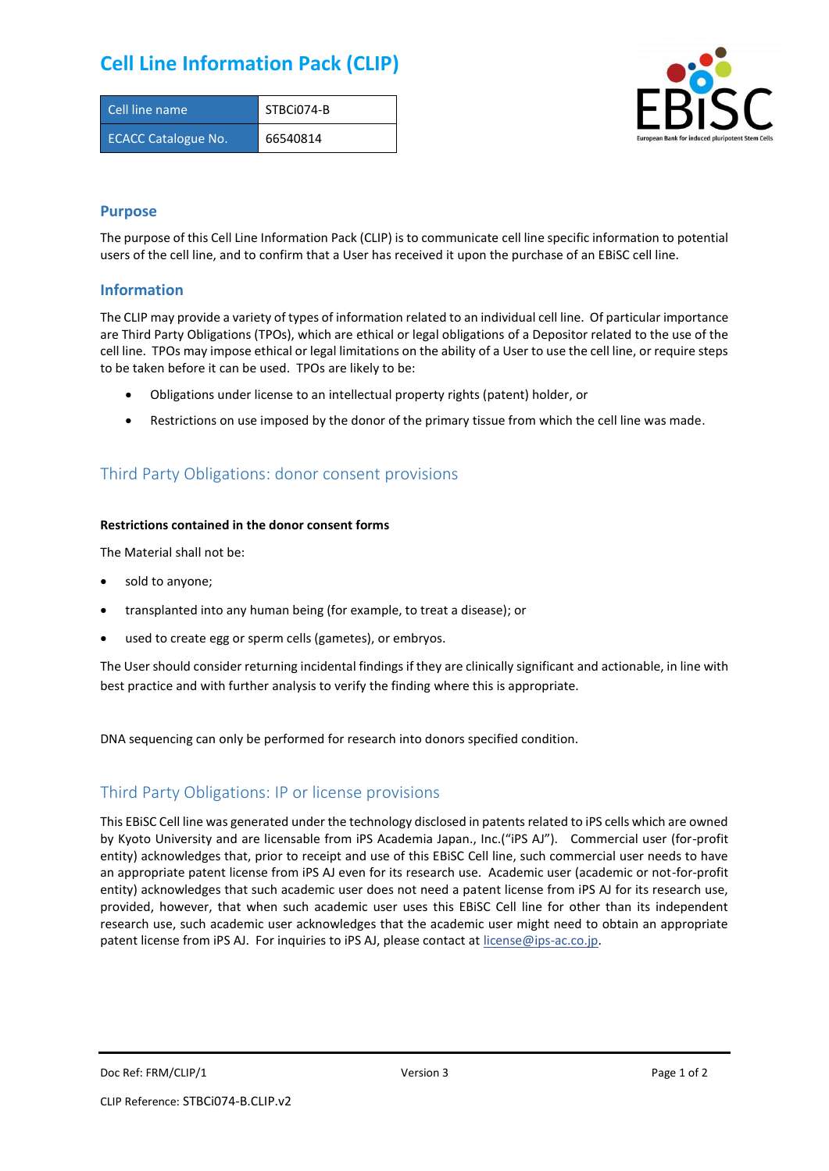## **Cell Line Information Pack (CLIP)**

| Cell line name             | STBCi074-B |
|----------------------------|------------|
| <b>ECACC Catalogue No.</b> | 66540814   |



### **Purpose**

The purpose of this Cell Line Information Pack (CLIP) is to communicate cell line specific information to potential users of the cell line, and to confirm that a User has received it upon the purchase of an EBiSC cell line.

### **Information**

The CLIP may provide a variety of types of information related to an individual cell line. Of particular importance are Third Party Obligations (TPOs), which are ethical or legal obligations of a Depositor related to the use of the cell line. TPOs may impose ethical or legal limitations on the ability of a User to use the cell line, or require steps to be taken before it can be used. TPOs are likely to be:

- Obligations under license to an intellectual property rights (patent) holder, or
- Restrictions on use imposed by the donor of the primary tissue from which the cell line was made.

## Third Party Obligations: donor consent provisions

#### **Restrictions contained in the donor consent forms**

The Material shall not be:

- sold to anyone;
- transplanted into any human being (for example, to treat a disease); or
- used to create egg or sperm cells (gametes), or embryos.

The User should consider returning incidental findings if they are clinically significant and actionable, in line with best practice and with further analysis to verify the finding where this is appropriate.

DNA sequencing can only be performed for research into donors specified condition.

### Third Party Obligations: IP or license provisions

This EBiSC Cell line was generated under the technology disclosed in patents related to iPS cells which are owned by Kyoto University and are licensable from iPS Academia Japan., Inc.("iPS AJ"). Commercial user (for-profit entity) acknowledges that, prior to receipt and use of this EBiSC Cell line, such commercial user needs to have an appropriate patent license from iPS AJ even for its research use. Academic user (academic or not-for-profit entity) acknowledges that such academic user does not need a patent license from iPS AJ for its research use, provided, however, that when such academic user uses this EBiSC Cell line for other than its independent research use, such academic user acknowledges that the academic user might need to obtain an appropriate patent license from iPS AJ. For inquiries to iPS AJ, please contact at [license@ips-ac.co.jp.](mailto:license@ips-ac.co.jp)

Doc Ref: FRM/CLIP/1 **Doces 2** Page 1 of 2 Page 1 of 2